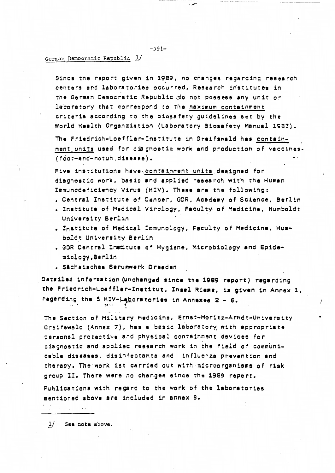## German Democratic Republic 1/

Since the report given in 1989, no changes regarding research centers and laboratories occurred. Research iristitutes in the German Democratic Republic do not **possess any** unit or laboratory that correspond to the maximum containment criteria according to the biosafety guidelines set by the World Health Organziation {Laboratory Biosafety Manual 1993).

---

The Friedrich-Loeffler-Institute in Greifewald has containment units used for diagnostic work and production of vaccines- (foot-and-motuh **.disease).** 

Five institutions have containment units designed for diagnostic work, basic and applied research with the Human Immunodeficiency Virus (HIV). **These are** the following:

- Central Institute of Cancer, GDR, Academy of Science, Berlin
- Institute of Medical Virology, Faculty of Medicine, Humboldt University Berlin
- . Institute of Medical Immunology, Faculty of Medicine, Humboldt University Berlin
- GOR Central Institute of Hygiene, Microbiology and Epidemiology,eerlin
- **Slch1i1ch11** Seruinwerk **Ore1den**

Datailed information (unchanged since the 1989 report) regarding the Friedrich-Loeffler-Institut, Insel Riema, is given in Annex 1, regarding the 5 HIV-Laboratories in Annexes 2 - 6.

 $\lambda$ 

The Section of Military Medicine, Ernst-Moritz-Arndt-University Greifswald (Annex 7), has a basic laboratory with appropriate personal protective and physical containment devices for diagnostic and applied research work in the field of communicable **diseases,** disinfectants and influenza prevention and therapy. The·work 1st carried out with microorganisms of risk group II. There **were** no changes since the 1989 report.

Publications with regard to the work of the laboratories mentioned above are included in annex 8.

!/ See note above.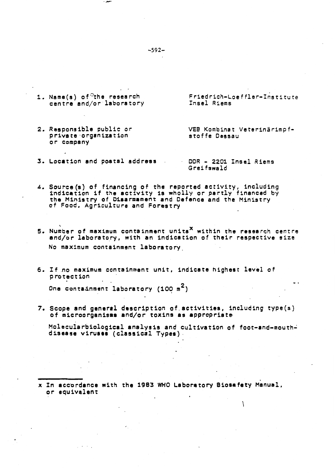1. Name(s) of<sup>c</sup>the research centre and/or laboratory

. ---

2. Responsible public or private·organization or company

Friedrich-Loeffler-Institute Insel Riems

VEB Kombinat Veterinärimpf-<br>stoffe Dessau

J

3. Location and po.atal **address** 

OOR - 2201 Insel Riems Greifswald

- 4. Souree(s) of financing of the reported activity, including indication if the activity is wholly or partly financed by the Ministry of Disarmament and Defence and the Ministry of Food, Agriculture and Forestry
- 5. Number of maximum containment units<sup> $X$ </sup> within the research centre and/or laboratory, with an indication of their respective size No maximum containment laboratory\_
- 6. If .no maximum containment unit, indicate highest level of protection

One containment laboratory  $(100~{\rm m}^2)$ 

7. Scope and **general** description of.activities, including type(s) of microorganisms and/or toxins as appropriate

Molecularbiological analysis and cultivation of foot-and-mouthdisease viruses (classical Types).

x In acc·ordance with the 1983 WHO Laboratory **Biosa** fety Manual, or equivalent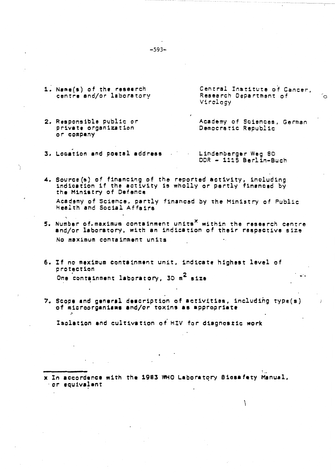1. Name(s) of the research centre and/or laboratory Central Institute of Cancer, Research Department of Virology

່ດ

- 2. Responsible public or **private** organization or company Academy of Sciences, German Democratic Republic
- 3. Location **and poetal address** Lindenberger Weg 80 DOR - 1115 Berlin-Buch
- 4. Source(s) of financing of the reported activity, including indication if the activity is wholly or partly financed by the Ministry of **Defence**  Academy of Science, partly financed by the Ministry of Public Health and Social Affairs
- ' s. Number of.maximum containment unitsx within the **research** centre and/or laboratory, with an indication of their respective size No maximum containment units
- 6. If no maximum containment unit, indicate highest level of protection One containment laboratory, 30 m<sup>2</sup> size
- 7. Scope and general description of activities, including type(s) of microorganisms and/or toxins as appropriate

Isolation and cultivation *oi* HIV for diagnostic work

~

.. **x** In **1cc0rdanc1** with the 1983 WHO Labor•t~ry **Biosafety** Manual, ·or **1quiva;1nt** 

1

-593-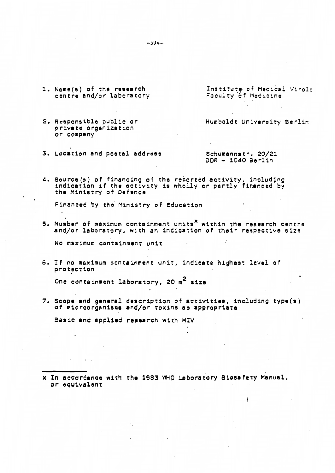- 1. Name(s) of the research centre and/or laboratory
- 2. Responsible public or private organization or company
- 3. Location and postal **address**

Institute of Medical Virolc Faculty of Medicine

Humboldt University Berlin

Schumannstr. 20/21 DOR - 1040 Berlin

 $\mathcal{L}$ 

4. Source(s) of financing of the reported activity, including indication if the activity is wholly or partly financed by the Ministry of Defence

Financed by the Ministry of Education

5. Number of maximum containment units<sup>x</sup> within the research centre and/or laboratory, with an indication of their **respective** size

No maximum containment unit

6. If no maximum containment unit, indicate highest level of  $protraction$ 

One containment laboratory, 20 m2 **size** 

7. Scope **and general** description of **activities,** including type(s) of microorganisms and/or toxins as appropriate

Basic and applied research with HIV

x In acc·ordance with the 1983 WHO Laboratory **Biosafety** Manual, *or* equivalent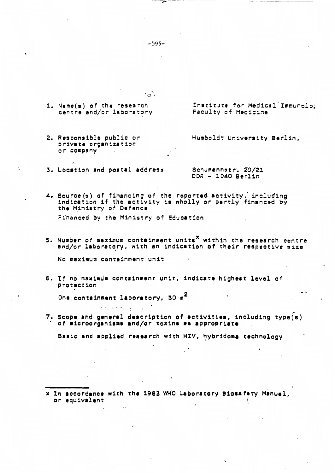1. Name(s) of the research centre and/or laboratory

2. Responsible public or private organization or company

Institute for Medical Immunolo:

Humboldt University Berlin,

Faculty of Medicine

3. Location and postal address

Schumannstr. 20/21 DDR - 1040 Berlin

- 4. Source (s) of financing of the reported activity, including<br>indication if the activity is wholly or partly financed by the Ministry of Defence Financed by the Ministry of Education
- 5. Number of maximum containment units<sup>X</sup> within the research centre and/or laboratory, with an indication of their respective size

No maximum containment unit

6. If no maximum containment unit, indicate highest level of protection

One containment laboratory, 30 m<sup>2</sup>

 $\omega_{\rm c} < 10^{-1}$ 

7. Scope and general description of activities, including type(s) of microorganisms and/or toxins as appropriate

Basic and applied research with HIV, hybridoma technology

x In accordance with the 1983 WHO Laboratory Biosafety Manual, or equivalent

 $-595-$ 

' చే,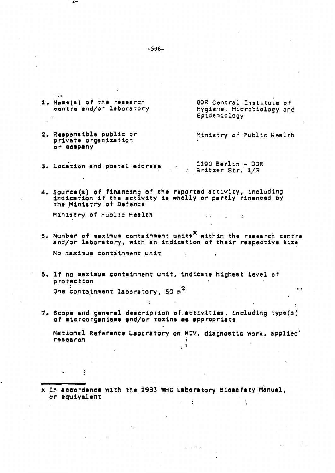| ാ<br>1. Name(s) of the research<br>cantra and/or laboratory                                                                                             | GDR Central Institute of<br>Hygiene, Microbiology and<br>Epidemiology |
|---------------------------------------------------------------------------------------------------------------------------------------------------------|-----------------------------------------------------------------------|
| 2. Responsible public or<br>private organization<br>or company                                                                                          | Ministry of Public Health                                             |
| 3. Location and postal address                                                                                                                          | $1190 \text{ Berlin} - \text{DDR}$<br>Britzer Str. 1/3                |
| 4. Source (s) of financing of the reported activity, including<br>indication if the activity is wholly or partly financed by<br>the Ministry of Defence |                                                                       |
| Ministry of Public Health                                                                                                                               |                                                                       |
| 5. Number of maximum containment units <sup>X</sup> within the research centre<br>and/or laboratory, with an indication of their respective size        |                                                                       |
| No maximum containment unit                                                                                                                             |                                                                       |
| 6. If no maximum containment unit, indicate highest level of<br>protection                                                                              |                                                                       |
| One containment laboratory, 50 $m^2$                                                                                                                    | ::                                                                    |
| 7. Scope and general description of activities, including type(s)<br>of microorganisms and/or toxins as appropriate                                     |                                                                       |
| National Reference Laboratory on HIV, diagnostic work, applied<br>research                                                                              |                                                                       |
|                                                                                                                                                         |                                                                       |
|                                                                                                                                                         |                                                                       |
| x In accordance with the 1983 WHO Laboratory Biosafety Manual,<br>or equivalent                                                                         |                                                                       |
|                                                                                                                                                         |                                                                       |

 $-596-$ 

 $\bar{\beta}$ 

 $\sim$ 

 $\bar{\mathcal{A}}$ 

 $\bar{\epsilon}$  :

سعو. -

 $\ddot{\phantom{a}}$ 

Ģ

 $\ddot{\phantom{a}}$ 

 $\ddot{\phantom{0}}$ 

 $\frac{1}{\sqrt{2}}$ 

 $\mu$  and  $\lambda$ 

 $\ddot{\cdot}$ 

 $\hat{\mathcal{L}}$ 

 $\ddot{\phantom{a}}$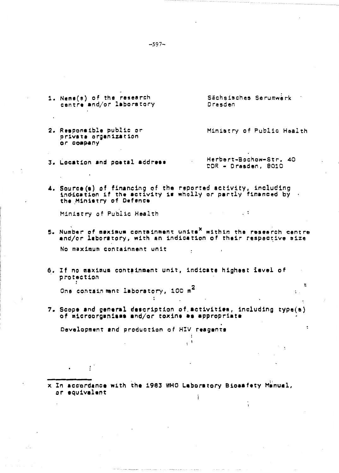- 1. Neme(s) of the research Sächsisches Serumwerk centre and/or laboratory Dresden
- 2. Responsible public or Ministry of Public Health private organization or company
	- Herbert-Bochow-Str. 40 DDR - Dresden, 8010

 $\therefore$ 

 $\overline{\phantom{a}}$ 

 $\ddot{\cdot}$ 

4. Source (s) of financing of the reported activity, including<br>indication if the activity is wholly or partly financed by the Ministry of Defence

Ministry of Public Health

3. Location and postal address

- 5. Number of maximum containment units<sup>X</sup> within the research centre and/or laboratory, with an indication of their respective size No maximum containment unit
- 6. If no maximum containment unit, indicate highest level of protection  $\bullet$

One containment laboratory, 100 m<sup>2</sup>

7. Scope and general description of activities, including type(s) of microorganisms and/or toxins as appropriate

 $\cdot$ <sup>1</sup>

Development and production of HIV reagents

x In accordance with the 1983 WHO Laboratory Biosafety Manual, or equivalent

 $-597-$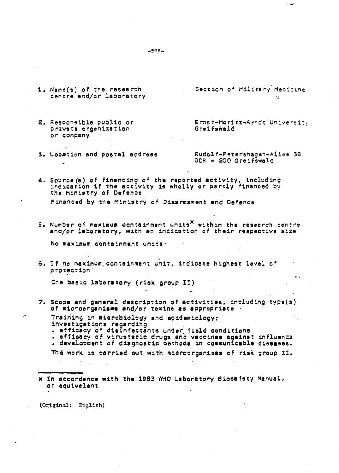- 1. Name(s) of the research centre and/or laboratory
- 2. Responsible public *or*  private organization *or* comp.any

Ernst-Moritz-Arndt Universit, Greifswald

3. Location and postal **address** 

Rudolf-Fetershagen-Allee 38 DOR - 200 Greifswald

*.J* 

4. Source(s) of financing of the reported activity, including indication if the activity is wholly or partly financed by the Ministry of Defence Financed by the Ministry of Disarmament and Defence

5. Number of maximum containment unitsx within **the research** centre and/or laboratory, with an indication of their **respective** size

No maximum containment units·

6. If no maximum containment unit, indicate highest level of  $p$  rotection  $\overline{p}$ 

One basic laboratory ( risk group II)

7. Scope **and general** description of.activities, including type(s) of microorganisms and/or toxins as appropriate

Training in microbiology and epidemiology;<br>investigations regarding<br>. • efficacy of disinfectants under field conditions

• efficacy of virustatic drugs and **vaccines** against influenza • development of diagnostic methods in communicable **diseases.** 

The work is carried out with microorganisms of risk group II.

x In accordance with the 1983 WHO Laboratory **81oaafety** Manual, or equivalent

(Original: English)

 $\mathbf{r}$ 

 $-508 -$ 

Section of Military Medicine  $\mathbf{A}$ 

**. مد**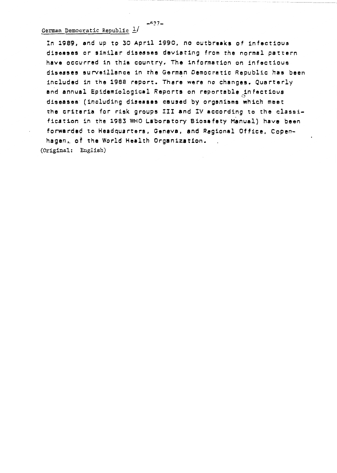In 1989, and up to 30 April 1990, no outbreaks of infectious **diseases** *or* similar **diseeses** deviating from the normal pattern **have** occurred in this country. The information on infectious diseases surveillance in the German Democratic Republic has been included in the 1988 report. There **were** no changes. Quarterly and annual Epidemiological Reports on reportable  $_\circ$ infectious **diseases** (including **diseases** caused by organisms which meet the criteria for risk groups III and IV according to the classification in the 1983 WHO Laboratory Biosafety Manual) have been forwarded to Headquarters, Geneva, and Regional Office, Copenhagen,. of the World Health Organization. (Original: English)

 $\ddot{\phantom{0}}$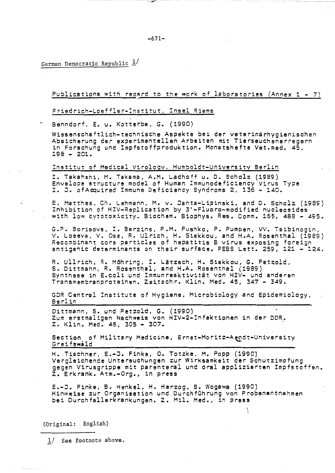German Democratic Republic  $\frac{1}{2}$ 

Publications with recard to the work of laboratories (Annex  $1 - 7$ )

Friedrich-Loeffler-Institut, Insel Riems

Benndorf, E. u. Kotterba, G. (1990)

Wissenschaftlich-technische Aspekte bei der veterinärhygienischen Absicherung der experimentellen Arbeiten mit Tierseuchenerregern in Forschung und Impfstoffproduktion. Monatshefte Vet.med. 45,  $198 - 201.$ 

## Institut of Medical Virology, Humboldt-University Berlin

I. Takahshi, M. Takama, A.M. Ladhoff u. D. Scholz (1989)<br>Envelope structure model of Human Immunodeficiency Virus Type I. J. of Acquired Immune Deficiency Syndroms 2, 136 - 140.

E. Matthes, Ch. Lehmann, M. v. Janta-Lipinski, and D. Scholz (1989) Inhibition of HIV-Replication by 3'-Fluoro-modified nucleosides with low cytotoxicity. Biochem. Biophys. Res. Comm. 165, 488 - 495.

G.P. Borisova, I. Berzins, P.M. Pushko, P. Pumpen, VV. Tsibinogin, V. Loseva, V. Ose, R. Ulrich, H. Siakkou, and H.A. Rosenthal (1989) Recombinant core particles of hepatitis B virus exposing foreign<br>antigenic determinants on their surface. FEBS Lett. 259, 121 - 124.

R. Ullrich, R. Möhring, I. Lätzsch, H. Siakkou, G. Petzold, S. Dittmann, R. Rosenthal, and H.A. Rosenthal (1989) Synthese in E.coli und Immunreaktivität von HIV- und anderen Transmembranproteinen. Zeitschr. Klin. Med. 45, 347 - 349.

GDR Central Institute of Hygiene, Microbiology and Epidemiology, Berlin

Dittmann, S. und Petzold, G. (1990) Zum erstmaligen Nachweis von HIV-2-Infektionen in der DDR. Z. Klin. Med. 45, 305 - 307.

Section of Military Medicine, Ernst-Moritz-Arndt-University Greifswald

H. Tischner, E.-J. Finke, O. Totzke, M. Popp (1990) Vergleichende Untersuchungen zur Wirksamkeit der Schutzimpfung gegen Virusgrippe mit parenteral und oral applizierten Impfstoffen. Z. Erkrank. Atm.-Org., in press

E.-J. Finke, B. Henkel, H. Herzog, B. Wogawa (1990) Hinweise zur Organisation und Durchführung von Probenentnahmen bei Durchfallerkrankungen. Z. Mil. Med., in press

(Original: English)

1/ See footnote above.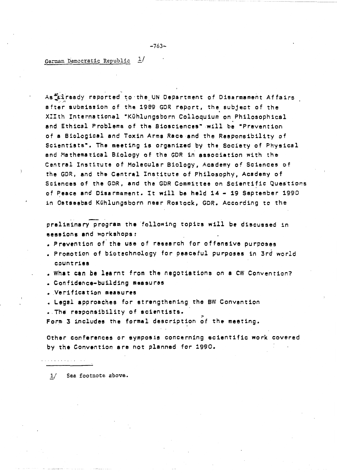## German Democratic Republic  $\frac{1}{2}$

As<sup>#</sup>&iready reported to the UN Department of Disarmament Affairs after submission of the 1989 GDR report, the subject of the XIIth International "Kühlungsborn Colloquium on Philosophical end Ethical Problems of the Biosciences" will be "Prevention of a Biological and Toxin Arms Race and the Responsibility of Scientists". The meeting is organized by the Society of Physical and Hethematical Biology of the GDR in **association** with the Central Institute of Molecular Biology, Academy of Sciences of the GDR, and the Central Institute of Philosophy, Academy of Sciences of the GDR, and the GDR Committee on Scientific Questions of **Peace and** Disarmament. It will be held 14 - 19 September 1990 in **Oetseebad** Kuhlungsborn near Restock, GOR. According to the

preliminary program the 'following topics will be discussed in **sessions end** workshops:

- Prevention of **the use** of **research** for offensive purposes
- Promotion of biotechnology for peaceful purposes in 3rd world countries

• What can be learnt from the negotiations on **a** CW Convention?

• Confidence-building **measures** 

• Verification **measures** 

• Legal approaches for strengthening the BW Convention

. The responsibility of scientists.

Form 3 includes the formal description of the meeting.

Other conferences or symposia concerning scientific work covered by the Convention are not planned for 1990.

المتعارض والمتحاوية والمتحاوية

1/ See footnote above.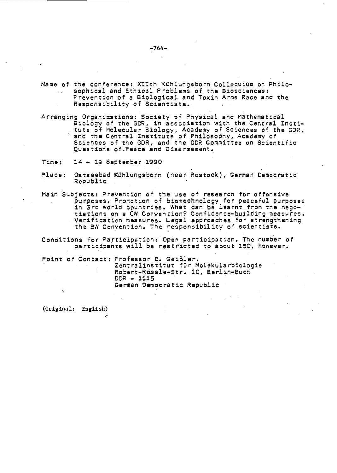- Name of the conference: XIIth Kühlungsborn Colloquium on Philosophical and Ethical Problems of the Biosciences: Prevention of a Biological and Toxin Arms Race and the Responsibility of Scientists.
- Arranging Organizations: Society of Physical and Mathematical Biology of the GDR, in association with the Central Institute of Molecular Biology, Academy of Sciences of the GDR, and the Central Institute of Philosophy, Academy of Sciences of the GDR, and the GDR Committee on Scientific Questions of. Peace and Disarmament.
- Time: 14 19 September 1990
- Place: Ostseebad Kuhlungsborn (near Restock), German Democratic Republic
- Main Subjects: Prevention of the use of research for offensive purposes. Promotion of biotechnology for peaceful purposes in 3rd world countries. What can be learnt from the nego- tiations on a CW Convention? Confidence-building measures. Verification measures. Legal approaches for strengthening the SW Convention. The responsibility of scientists.
- Conditions for Participation: Open participation. The number of participants will be restricted to about 150, however.

Point of Contact: Professor E. GeiSler, Zentralinstitut fur Molekularbiologie Robert-Rössle-Str. 10, Berlin-Buch DOR - **1115**  German Democratic Republic

(Original; English)

 $-764-$